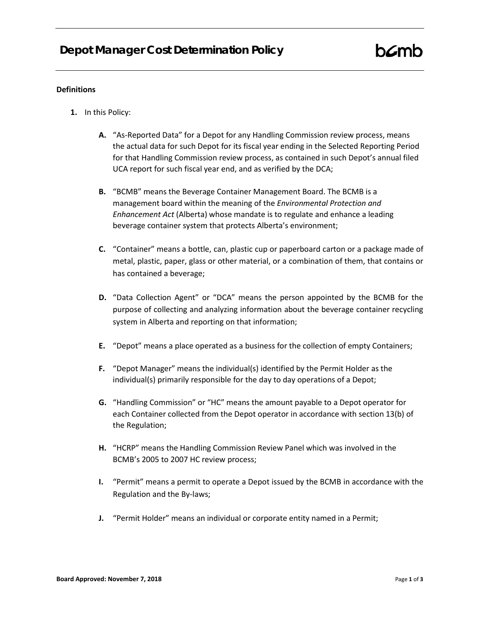## **Definitions**

- **1.** In this Policy:
	- **A.** "As-Reported Data" for a Depot for any Handling Commission review process, means the actual data for such Depot for its fiscal year ending in the Selected Reporting Period for that Handling Commission review process, as contained in such Depot's annual filed UCA report for such fiscal year end, and as verified by the DCA;
	- **B.** "BCMB" means the Beverage Container Management Board. The BCMB is a management board within the meaning of the *Environmental Protection and Enhancement Act* (Alberta) whose mandate is to regulate and enhance a leading beverage container system that protects Alberta's environment;
	- **C.** "Container" means a bottle, can, plastic cup or paperboard carton or a package made of metal, plastic, paper, glass or other material, or a combination of them, that contains or has contained a beverage;
	- **D.** "Data Collection Agent" or "DCA" means the person appointed by the BCMB for the purpose of collecting and analyzing information about the beverage container recycling system in Alberta and reporting on that information;
	- **E.** "Depot" means a place operated as a business for the collection of empty Containers;
	- **F.** "Depot Manager" means the individual(s) identified by the Permit Holder as the individual(s) primarily responsible for the day to day operations of a Depot;
	- **G.** "Handling Commission" or "HC" means the amount payable to a Depot operator for each Container collected from the Depot operator in accordance with section 13(b) of the Regulation;
	- **H.** "HCRP" means the Handling Commission Review Panel which was involved in the BCMB's 2005 to 2007 HC review process;
	- **I.** "Permit" means a permit to operate a Depot issued by the BCMB in accordance with the Regulation and the By-laws;
	- **J.** "Permit Holder" means an individual or corporate entity named in a Permit;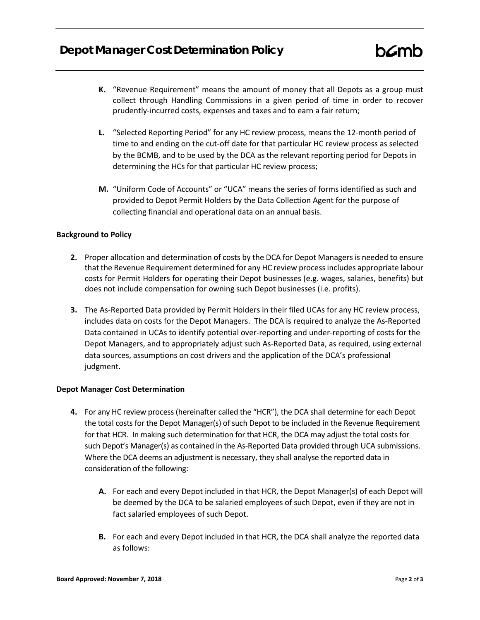- **K.** "Revenue Requirement" means the amount of money that all Depots as a group must collect through Handling Commissions in a given period of time in order to recover prudently-incurred costs, expenses and taxes and to earn a fair return;
- **L.** "Selected Reporting Period" for any HC review process, means the 12-month period of time to and ending on the cut-off date for that particular HC review process as selected by the BCMB, and to be used by the DCA as the relevant reporting period for Depots in determining the HCs for that particular HC review process;
- **M.** "Uniform Code of Accounts" or "UCA" means the series of forms identified as such and provided to Depot Permit Holders by the Data Collection Agent for the purpose of collecting financial and operational data on an annual basis.

## **Background to Policy**

- **2.** Proper allocation and determination of costs by the DCA for Depot Managers is needed to ensure that the Revenue Requirement determined for any HC review process includes appropriate labour costs for Permit Holders for operating their Depot businesses (e.g. wages, salaries, benefits) but does not include compensation for owning such Depot businesses (i.e. profits).
- **3.** The As-Reported Data provided by Permit Holders in their filed UCAs for any HC review process, includes data on costs for the Depot Managers. The DCA is required to analyze the As-Reported Data contained in UCAs to identify potential over-reporting and under-reporting of costs for the Depot Managers, and to appropriately adjust such As-Reported Data, as required, using external data sources, assumptions on cost drivers and the application of the DCA's professional judgment.

## **Depot Manager Cost Determination**

- **4.** For any HC review process (hereinafter called the "HCR"), the DCA shall determine for each Depot the total costs for the Depot Manager(s) of such Depot to be included in the Revenue Requirement for that HCR. In making such determination for that HCR, the DCA may adjust the total costs for such Depot's Manager(s) as contained in the As-Reported Data provided through UCA submissions. Where the DCA deems an adjustment is necessary, they shall analyse the reported data in consideration of the following:
	- **A.** For each and every Depot included in that HCR, the Depot Manager(s) of each Depot will be deemed by the DCA to be salaried employees of such Depot, even if they are not in fact salaried employees of such Depot.
	- **B.** For each and every Depot included in that HCR, the DCA shall analyze the reported data as follows: